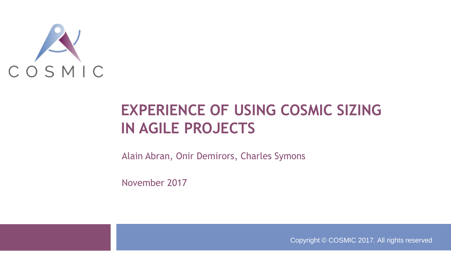

### **EXPERIENCE OF USING COSMIC SIZING IN AGILE PROJECTS**

Alain Abran, Onir Demirors, Charles Symons

November 2017

Copyright © COSMIC 2017. All rights reserved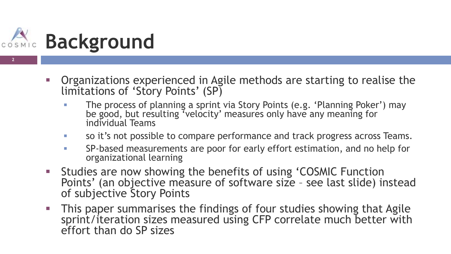

- Organizations experienced in Agile methods are starting to realise the limitations of 'Story Points' (SP)
	- **The process of planning a sprint via Story Points (e.g. 'Planning Poker') may** be good, but resulting 'velocity' measures only have any meaning for individual Teams
	- so it's not possible to compare performance and track progress across Teams.
	- SP-based measurements are poor for early effort estimation, and no help for organizational learning
- Studies are now showing the benefits of using 'COSMIC Function Points' (an objective measure of software size - see last slide) instead of subjective Story Points
- This paper summarises the findings of four studies showing that Agile sprint/iteration sizes measured using CFP correlate much better with effort than do SP sizes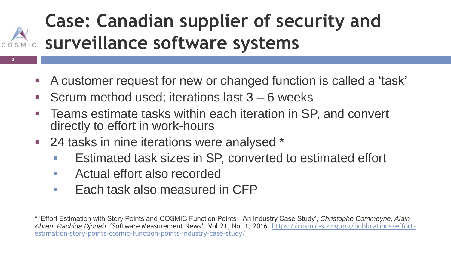## **Case: Canadian supplier of security and surveillance software systems**

- A customer request for new or changed function is called a 'task'
- Scrum method used; iterations last 3 6 weeks
- Teams estimate tasks within each iteration in SP, and convert directly to effort in work-hours
- 24 tasks in nine iterations were analysed \*
	- Estimated task sizes in SP, converted to estimated effort
	- Actual effort also recorded

**3**

 $\blacksquare$  Each task also measured in CFP

<sup>\* &#</sup>x27;Effort Estimation with Story Points and COSMIC Function Points - An Industry Case Study', *Christophe Commeyne, Alain Abran, Rachida Djouab.* 'Software Measurement News'. Vol 21, No. 1, 2016. https://cosmic-sizing.org/publications/effort[estimation-story-points-cosmic-function-points-industry-case-study/](https://cosmic-sizing.org/publications/effort-estimation-story-points-cosmic-function-points-industry-case-study/)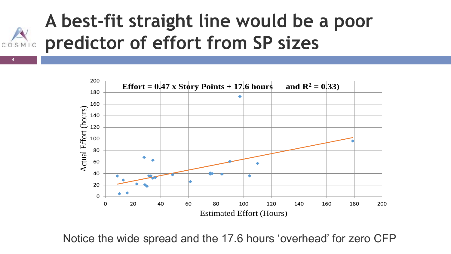



Notice the wide spread and the 17.6 hours 'overhead' for zero CFP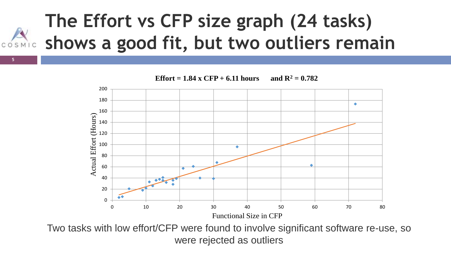## **The Effort vs CFP size graph (24 tasks) shows a good fit, but two outliers remain**



Two tasks with low effort/CFP were found to involve significant software re-use, so were rejected as outliers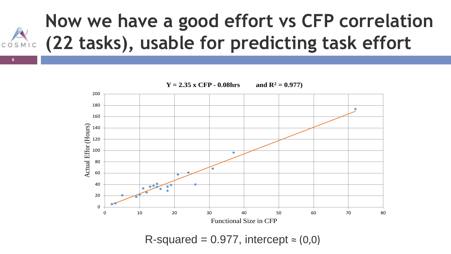### **Now we have a good effort vs CFP correlation (22 tasks), usable for predicting task effort** COSMIC



R-squared =  $0.977$ , intercept  $\approx$  (0,0)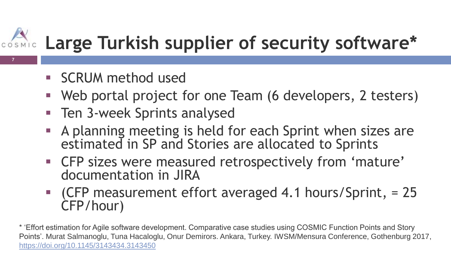## **Large Turkish supplier of security software\***

SCRUM method used

**7**

- Web portal project for one Team (6 developers, 2 testers)
- Ten 3-week Sprints analysed
- A planning meeting is held for each Sprint when sizes are estimated in SP and Stories are allocated to Sprints
- CFP sizes were measured retrospectively from 'mature' documentation in JIRA
- (CFP measurement effort averaged 4.1 hours/Sprint, = 25 CFP/hour)

\* 'Effort estimation for Agile software development. Comparative case studies using COSMIC Function Points and Story Points'. Murat Salmanoglu, Tuna Hacaloglu, Onur Demirors. Ankara, Turkey. IWSM/Mensura Conference, Gothenburg 2017, <https://doi.org/10.1145/3143434.3143450>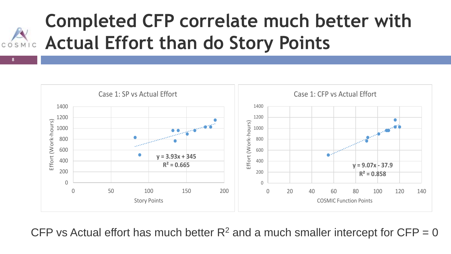## **Completed CFP correlate much better with Actual Effort than do Story Points**

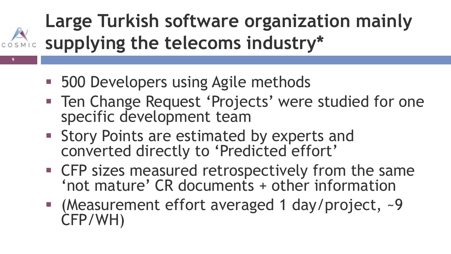## **Large Turkish software organization mainly supplying the telecoms industry\***

**500 Developers using Agile methods** 

- **Ten Change Request 'Projects' were studied for one** specific development team
- **Story Points are estimated by experts and** converted directly to 'Predicted effort'
- **EXTER** Sizes measured retrospectively from the same 'not mature' CR documents + other information
- (Measurement effort averaged 1 day/project, ~9 CFP/WH)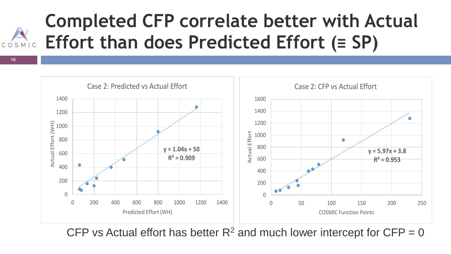## **Completed CFP correlate better with Actual Effort than does Predicted Effort (≡ SP)**

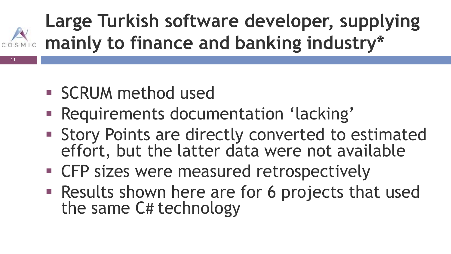## **Large Turkish software developer, supplying cosmic mainly to finance and banking industry\***

**SCRUM** method used

- **Requirements documentation 'lacking'**
- **Story Points are directly converted to estimated** effort, but the latter data were not available
- **EXTER** Sizes were measured retrospectively
- Results shown here are for 6 projects that used the same C# technology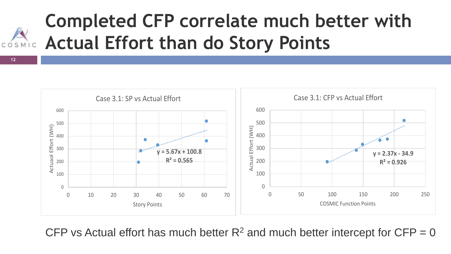## **Completed CFP correlate much better with Actual Effort than do Story Points**

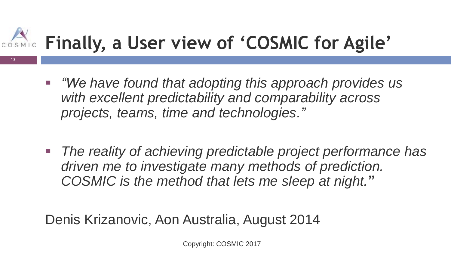# **Finally, a User view of 'COSMIC for Agile'**

**13**

- *"We have found that adopting this approach provides us with excellent predictability and comparability across projects, teams, time and technologies."*
- *The reality of achieving predictable project performance has driven me to investigate many methods of prediction. COSMIC is the method that lets me sleep at night.*"

Denis Krizanovic, Aon Australia, August 2014

Copyright: COSMIC 2017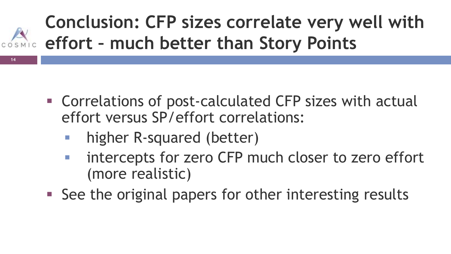## **Conclusion: CFP sizes correlate very well with effort – much better than Story Points**

- Correlations of post-calculated CFP sizes with actual effort versus SP/effort correlations:
	- higher R-squared (better)

- **Intercepts for zero CFP much closer to zero effort** (more realistic)
- See the original papers for other interesting results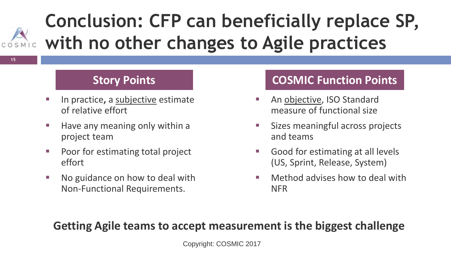### **Conclusion: CFP can beneficially replace SP, with no other changes to Agile practices** COSMIC

**15**

- In practice**,** a subjective estimate of relative effort
- $\blacksquare$  Have any meaning only within a project team
- Poor for estimating total project effort
- No guidance on how to deal with Non-Functional Requirements.

### **Story Points COSMIC Function Points**

- An objective, ISO Standard measure of functional size
- **Sizes meaningful across projects** and teams
- Good for estimating at all levels (US, Sprint, Release, System)
- **Nethod advises how to deal with** NFR

#### **Getting Agile teams to accept measurement is the biggest challenge**

Copyright: COSMIC 2017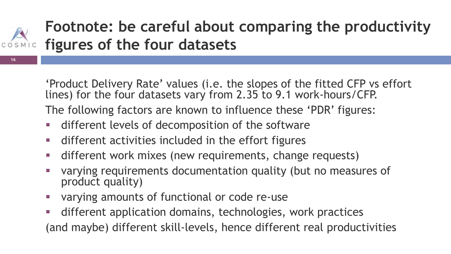

**16**

### **Footnote: be careful about comparing the productivity figures of the four datasets**

'Product Delivery Rate' values (i.e. the slopes of the fitted CFP vs effort lines) for the four datasets vary from 2.35 to 9.1 work-hours/CFP.

The following factors are known to influence these 'PDR' figures:

- different levels of decomposition of the software
- different activities included in the effort figures
- different work mixes (new requirements, change requests)
- varying requirements documentation quality (but no measures of product quality)
- varying amounts of functional or code re-use
- different application domains, technologies, work practices (and maybe) different skill-levels, hence different real productivities